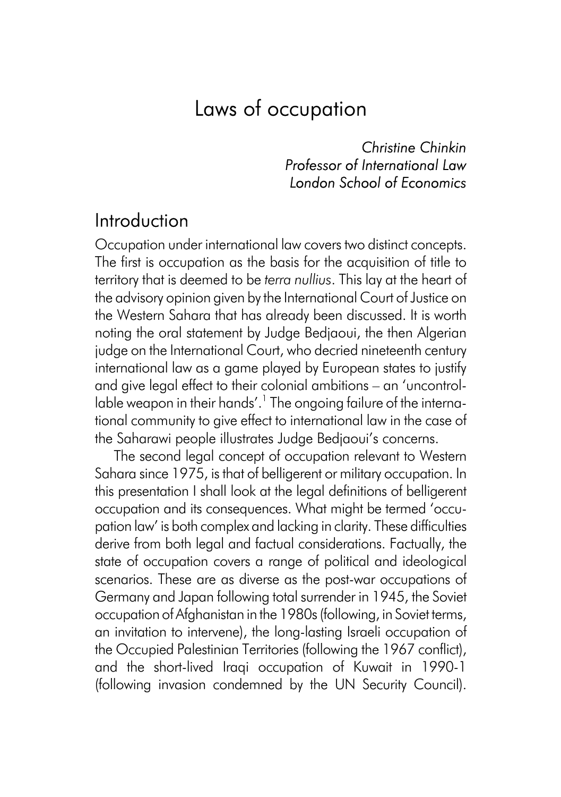# Laws of occupation

*Christine Chinkin Professor of International Law London School of Economics*

### Introduction

Occupation under international law covers two distinct concepts. The first is occupation as the basis for the acquisition of title to territory that is deemed to be *terra nullius*. This lay at the heart of the advisory opinion given by the International Court of Justice on the Western Sahara that has already been discussed. It is worth noting the oral statement by Judge Bedjaoui, the then Algerian judge on the International Court, who decried nineteenth century international law as a game played by European states to justify and give legal effect to their colonial ambitions – an 'uncontrollable weapon in their hands'.<sup>1</sup> The ongoing failure of the international community to give effect to international law in the case of the Saharawi people illustrates Judge Bedjaoui's concerns.

The second legal concept of occupation relevant to Western Sahara since 1975, is that of belligerent or military occupation. In this presentation I shall look at the legal definitions of belligerent occupation and its consequences. What might be termed 'occupation law' is both complex and lacking in clarity. These difficulties derive from both legal and factual considerations. Factually, the state of occupation covers a range of political and ideological scenarios. These are as diverse as the post-war occupations of Germany and Japan following total surrender in 1945, the Soviet occupation of Afghanistan in the 1980s (following, in Soviet terms, an invitation to intervene), the long-lasting Israeli occupation of the Occupied Palestinian Territories (following the 1967 conflict), and the short-lived Iraqi occupation of Kuwait in 1990-1 (following invasion condemned by the UN Security Council).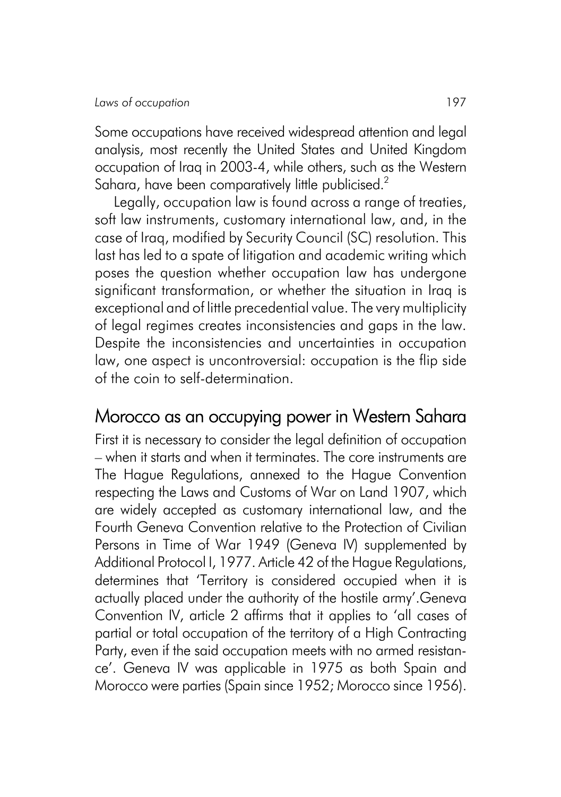Some occupations have received widespread attention and legal analysis, most recently the United States and United Kingdom occupation of Iraq in 2003-4, while others, such as the Western Sahara, have been comparatively little publicised.<sup>2</sup>

Legally, occupation law is found across a range of treaties, soft law instruments, customary international law, and, in the case of Iraq, modified by Security Council (SC) resolution. This last has led to a spate of litigation and academic writing which poses the question whether occupation law has undergone significant transformation, or whether the situation in Iraq is exceptional and of little precedential value. The very multiplicity of legal regimes creates inconsistencies and gaps in the law. Despite the inconsistencies and uncertainties in occupation law, one aspect is uncontroversial: occupation is the flip side of the coin to self-determination.

## Morocco as an occupying power in Western Sahara

First it is necessary to consider the legal definition of occupation – when it starts and when it terminates. The core instruments are The Hague Regulations, annexed to the Hague Convention respecting the Laws and Customs of War on Land 1907, which are widely accepted as customary international law, and the Fourth Geneva Convention relative to the Protection of Civilian Persons in Time of War 1949 (Geneva IV) supplemented by Additional Protocol I, 1977. Article 42 of the Hague Regulations, determines that 'Territory is considered occupied when it is actually placed under the authority of the hostile army'.Geneva Convention IV, article 2 affirms that it applies to 'all cases of partial or total occupation of the territory of a High Contracting Party, even if the said occupation meets with no armed resistance'. Geneva IV was applicable in 1975 as both Spain and Morocco were parties (Spain since 1952; Morocco since 1956).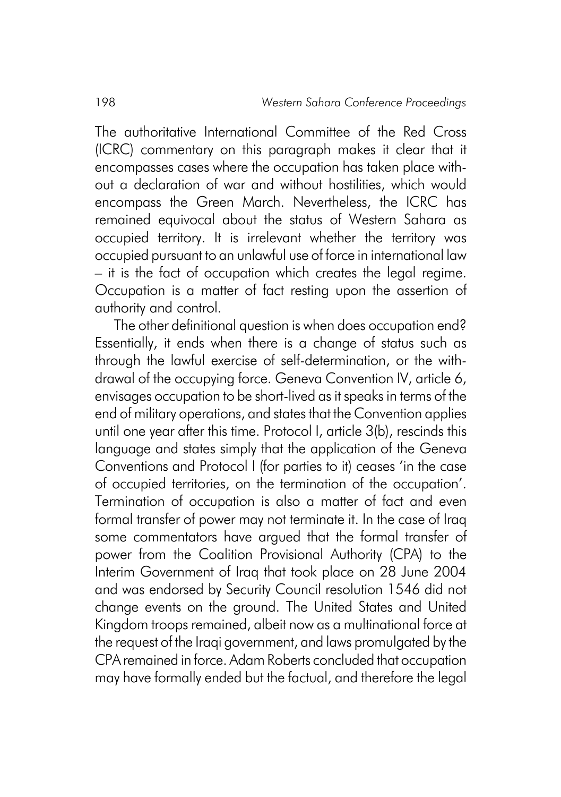The authoritative International Committee of the Red Cross (ICRC) commentary on this paragraph makes it clear that it encompasses cases where the occupation has taken place without a declaration of war and without hostilities, which would encompass the Green March. Nevertheless, the ICRC has remained equivocal about the status of Western Sahara as occupied territory. It is irrelevant whether the territory was occupied pursuant to an unlawful use of force in international law – it is the fact of occupation which creates the legal regime. Occupation is a matter of fact resting upon the assertion of authority and control.

The other definitional question is when does occupation end? Essentially, it ends when there is a change of status such as through the lawful exercise of self-determination, or the withdrawal of the occupying force. Geneva Convention IV, article 6, envisages occupation to be short-lived as it speaks in terms of the end of military operations, and states that the Convention applies until one year after this time. Protocol I, article 3(b), rescinds this language and states simply that the application of the Geneva Conventions and Protocol I (for parties to it) ceases 'in the case of occupied territories, on the termination of the occupation'. Termination of occupation is also a matter of fact and even formal transfer of power may not terminate it. In the case of Iraq some commentators have argued that the formal transfer of power from the Coalition Provisional Authority (CPA) to the Interim Government of Iraq that took place on 28 June 2004 and was endorsed by Security Council resolution 1546 did not change events on the ground. The United States and United Kingdom troops remained, albeit now as a multinational force at the request of the Iraqi government, and laws promulgated by the CPA remained in force. Adam Roberts concluded that occupation may have formally ended but the factual, and therefore the legal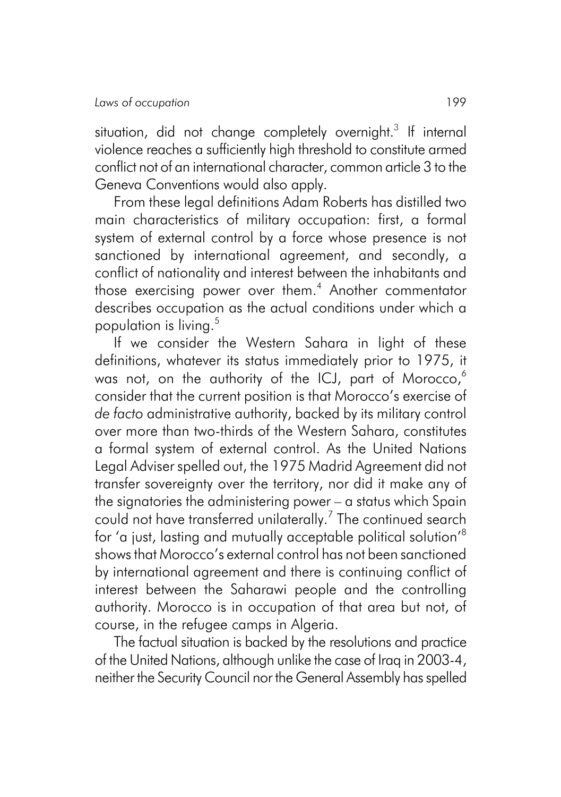situation, did not change completely overnight. $^3$  If internal violence reaches a sufficiently high threshold to constitute armed conflict not of an international character, common article 3 to the Geneva Conventions would also apply.

From these legal definitions Adam Roberts has distilled two main characteristics of military occupation: first, a formal system of external control by a force whose presence is not sanctioned by international agreement, and secondly, a conflict of nationality and interest between the inhabitants and those exercising power over them.<sup>4</sup> Another commentator describes occupation as the actual conditions under which a population is living.<sup>5</sup>

If we consider the Western Sahara in light of these definitions, whatever its status immediately prior to 1975, it was not, on the authority of the ICJ, part of Morocco, $6$ consider that the current position is that Morocco's exercise of *de facto* administrative authority, backed by its military control over more than two-thirds of the Western Sahara, constitutes a formal system of external control. As the United Nations Legal Adviser spelled out, the 1975 Madrid Agreement did not transfer sovereignty over the territory, nor did it make any of the signatories the administering power – a status which Spain could not have transferred unilaterally. $^7$  The continued search for 'a just, lasting and mutually acceptable political solution'8 shows that Morocco's external control has not been sanctioned by international agreement and there is continuing conflict of interest between the Saharawi people and the controlling authority. Morocco is in occupation of that area but not, of course, in the refugee camps in Algeria.

The factual situation is backed by the resolutions and practice of the United Nations, although unlike the case of Iraq in 2003-4, neither the Security Council nor the General Assembly has spelled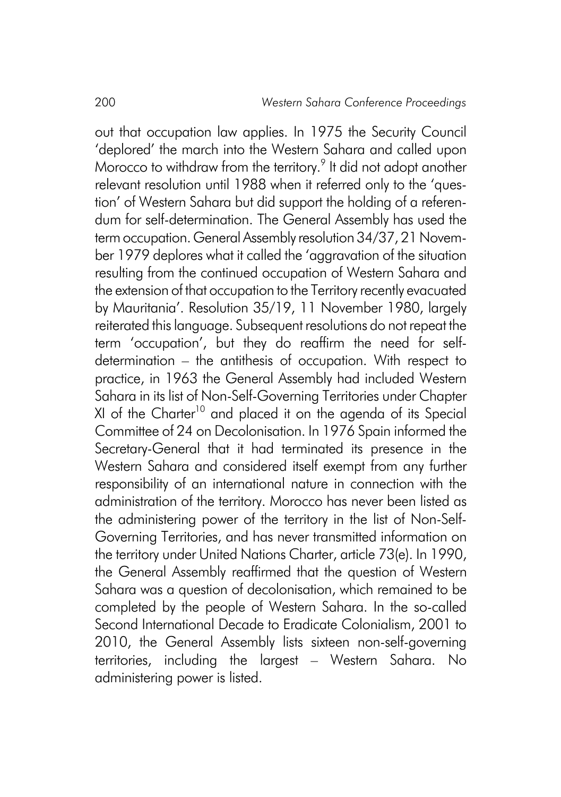out that occupation law applies. In 1975 the Security Council 'deplored' the march into the Western Sahara and called upon Morocco to withdraw from the territory. $^9$  It did not adopt another relevant resolution until 1988 when it referred only to the 'question' of Western Sahara but did support the holding of a referendum for self-determination. The General Assembly has used the term occupation. General Assembly resolution 34/37, 21 November 1979 deplores what it called the 'aggravation of the situation resulting from the continued occupation of Western Sahara and the extension of that occupation to the Territory recently evacuated by Mauritania'. Resolution 35/19, 11 November 1980, largely reiterated this language. Subsequent resolutions do not repeat the term 'occupation', but they do reaffirm the need for selfdetermination – the antithesis of occupation. With respect to practice, in 1963 the General Assembly had included Western Sahara in its list of Non-Self-Governing Territories under Chapter XI of the Charter<sup>10</sup> and placed it on the agenda of its Special Committee of 24 on Decolonisation. In 1976 Spain informed the Secretary-General that it had terminated its presence in the Western Sahara and considered itself exempt from any further responsibility of an international nature in connection with the administration of the territory. Morocco has never been listed as the administering power of the territory in the list of Non-Self-Governing Territories, and has never transmitted information on the territory under United Nations Charter, article 73(e). In 1990, the General Assembly reaffirmed that the question of Western Sahara was a question of decolonisation, which remained to be completed by the people of Western Sahara. In the so-called Second International Decade to Eradicate Colonialism, 2001 to 2010, the General Assembly lists sixteen non-self-governing territories, including the largest – Western Sahara. No administering power is listed.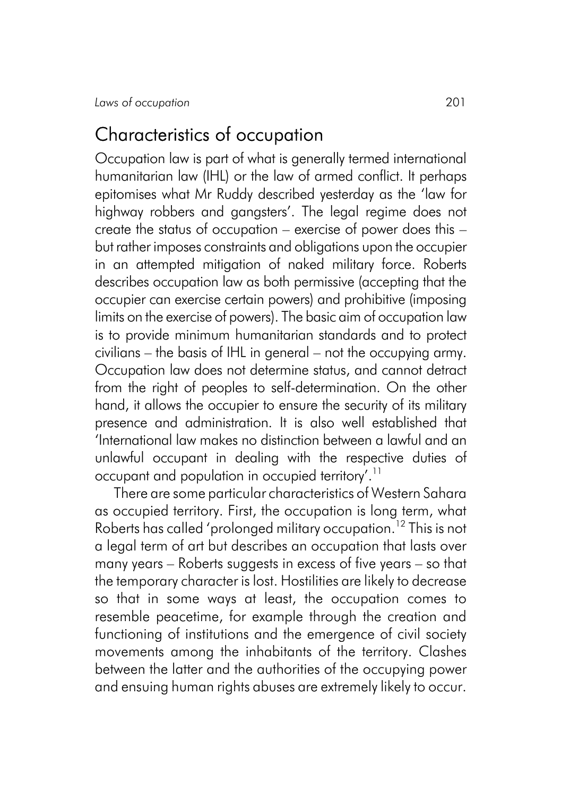#### Characteristics of occupation

Occupation law is part of what is generally termed international humanitarian law (IHL) or the law of armed conflict. It perhaps epitomises what Mr Ruddy described yesterday as the 'law for highway robbers and gangsters'. The legal regime does not create the status of occupation – exercise of power does this – but rather imposes constraints and obligations upon the occupier in an attempted mitigation of naked military force. Roberts describes occupation law as both permissive (accepting that the occupier can exercise certain powers) and prohibitive (imposing limits on the exercise of powers). The basic aim of occupation law is to provide minimum humanitarian standards and to protect civilians – the basis of IHL in general – not the occupying army. Occupation law does not determine status, and cannot detract from the right of peoples to self-determination. On the other hand, it allows the occupier to ensure the security of its military presence and administration. It is also well established that 'International law makes no distinction between a lawful and an unlawful occupant in dealing with the respective duties of occupant and population in occupied territory'.<sup>11</sup>

There are some particular characteristics of Western Sahara as occupied territory. First, the occupation is long term, what Roberts has called 'prolonged military occupation.<sup>12</sup> This is not a legal term of art but describes an occupation that lasts over many years – Roberts suggests in excess of five years – so that the temporary character is lost. Hostilities are likely to decrease so that in some ways at least, the occupation comes to resemble peacetime, for example through the creation and functioning of institutions and the emergence of civil society movements among the inhabitants of the territory. Clashes between the latter and the authorities of the occupying power and ensuing human rights abuses are extremely likely to occur.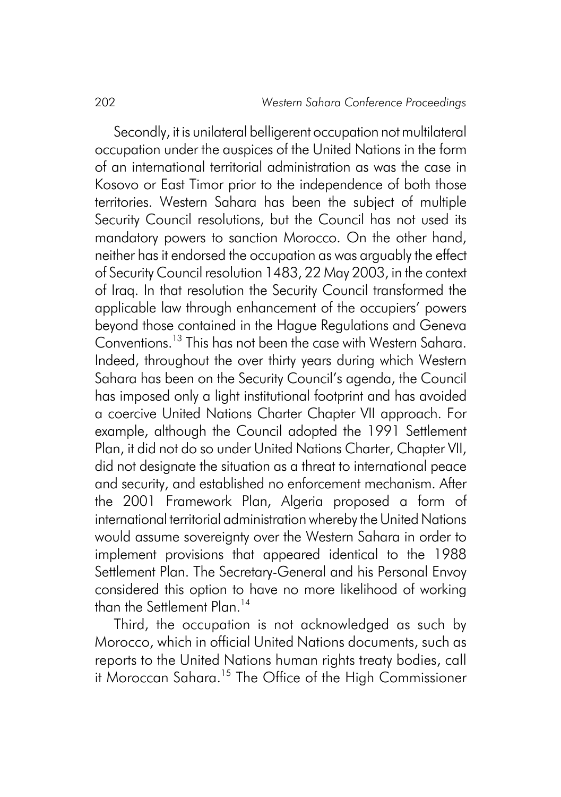Secondly, it is unilateral belligerent occupation not multilateral occupation under the auspices of the United Nations in the form of an international territorial administration as was the case in Kosovo or East Timor prior to the independence of both those territories. Western Sahara has been the subject of multiple Security Council resolutions, but the Council has not used its mandatory powers to sanction Morocco. On the other hand, neither has it endorsed the occupation as was arguably the effect of Security Council resolution 1483, 22 May 2003, in the context of Iraq. In that resolution the Security Council transformed the applicable law through enhancement of the occupiers' powers beyond those contained in the Hague Regulations and Geneva Conventions.<sup>13</sup> This has not been the case with Western Sahara. Indeed, throughout the over thirty years during which Western Sahara has been on the Security Council's agenda, the Council has imposed only a light institutional footprint and has avoided a coercive United Nations Charter Chapter VII approach. For example, although the Council adopted the 1991 Settlement Plan, it did not do so under United Nations Charter, Chapter VII, did not designate the situation as a threat to international peace and security, and established no enforcement mechanism. After the 2001 Framework Plan, Algeria proposed a form of international territorial administration whereby the United Nations would assume sovereignty over the Western Sahara in order to implement provisions that appeared identical to the 1988 Settlement Plan. The Secretary-General and his Personal Envoy considered this option to have no more likelihood of working than the Settlement Plan.<sup>14</sup>

Third, the occupation is not acknowledged as such by Morocco, which in official United Nations documents, such as reports to the United Nations human rights treaty bodies, call it Moroccan Sahara.<sup>15</sup> The Office of the High Commissioner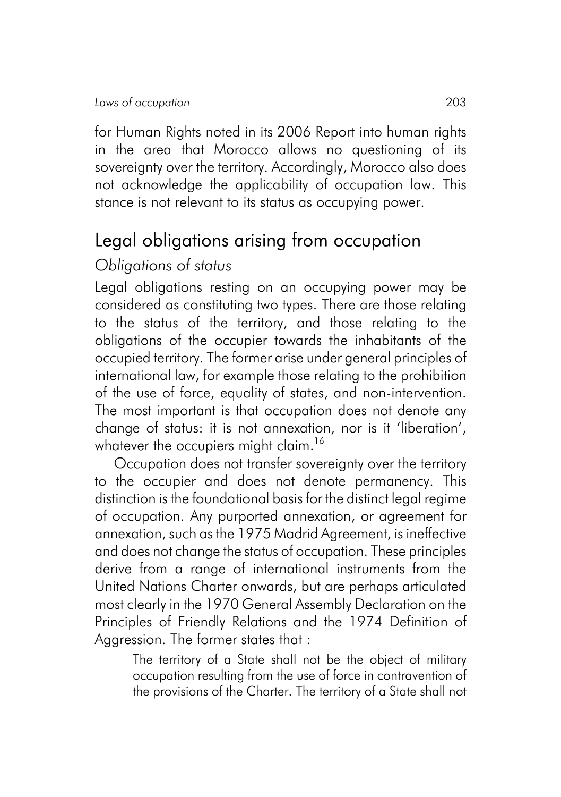for Human Rights noted in its 2006 Report into human rights in the area that Morocco allows no questioning of its sovereignty over the territory. Accordingly, Morocco also does not acknowledge the applicability of occupation law. This stance is not relevant to its status as occupying power.

# Legal obligations arising from occupation

#### *Obligations of status*

Legal obligations resting on an occupying power may be considered as constituting two types. There are those relating to the status of the territory, and those relating to the obligations of the occupier towards the inhabitants of the occupied territory. The former arise under general principles of international law, for example those relating to the prohibition of the use of force, equality of states, and non-intervention. The most important is that occupation does not denote any change of status: it is not annexation, nor is it 'liberation', whatever the occupiers might claim.<sup>16</sup>

Occupation does not transfer sovereignty over the territory to the occupier and does not denote permanency. This distinction is the foundational basis for the distinct legal regime of occupation. Any purported annexation, or agreement for annexation, such as the 1975 Madrid Agreement, is ineffective and does not change the status of occupation. These principles derive from a range of international instruments from the United Nations Charter onwards, but are perhaps articulated most clearly in the 1970 General Assembly Declaration on the Principles of Friendly Relations and the 1974 Definition of Aggression. The former states that :

The territory of a State shall not be the object of military occupation resulting from the use of force in contravention of the provisions of the Charter. The territory of a State shall not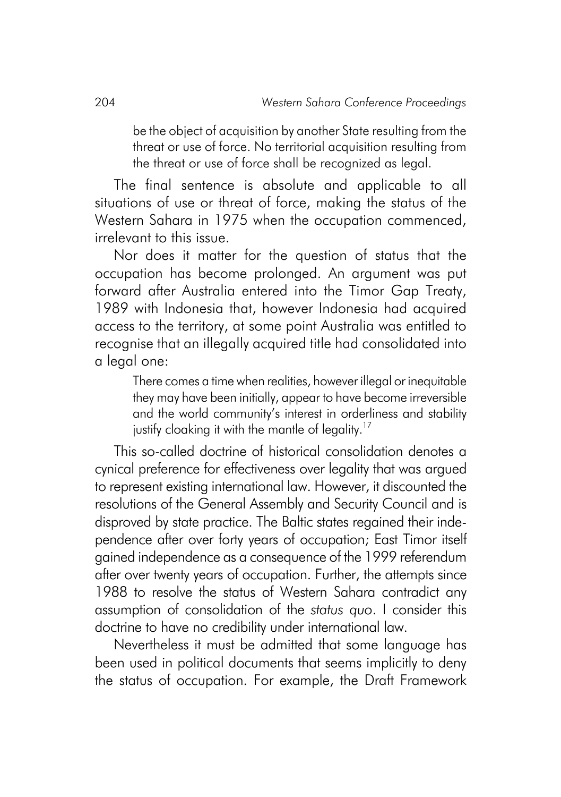be the object of acquisition by another State resulting from the threat or use of force. No territorial acquisition resulting from the threat or use of force shall be recognized as legal.

The final sentence is absolute and applicable to all situations of use or threat of force, making the status of the Western Sahara in 1975 when the occupation commenced, irrelevant to this issue.

Nor does it matter for the question of status that the occupation has become prolonged. An argument was put forward after Australia entered into the Timor Gap Treaty, 1989 with Indonesia that, however Indonesia had acquired access to the territory, at some point Australia was entitled to recognise that an illegally acquired title had consolidated into a legal one:

There comes a time when realities, however illegal or inequitable they may have been initially, appear to have become irreversible and the world community's interest in orderliness and stability justify cloaking it with the mantle of legality.<sup>17</sup>

This so-called doctrine of historical consolidation denotes a cynical preference for effectiveness over legality that was argued to represent existing international law. However, it discounted the resolutions of the General Assembly and Security Council and is disproved by state practice. The Baltic states regained their independence after over forty years of occupation; East Timor itself gained independence as a consequence of the 1999 referendum after over twenty years of occupation. Further, the attempts since 1988 to resolve the status of Western Sahara contradict any assumption of consolidation of the *status quo*. I consider this doctrine to have no credibility under international law.

Nevertheless it must be admitted that some language has been used in political documents that seems implicitly to deny the status of occupation. For example, the Draft Framework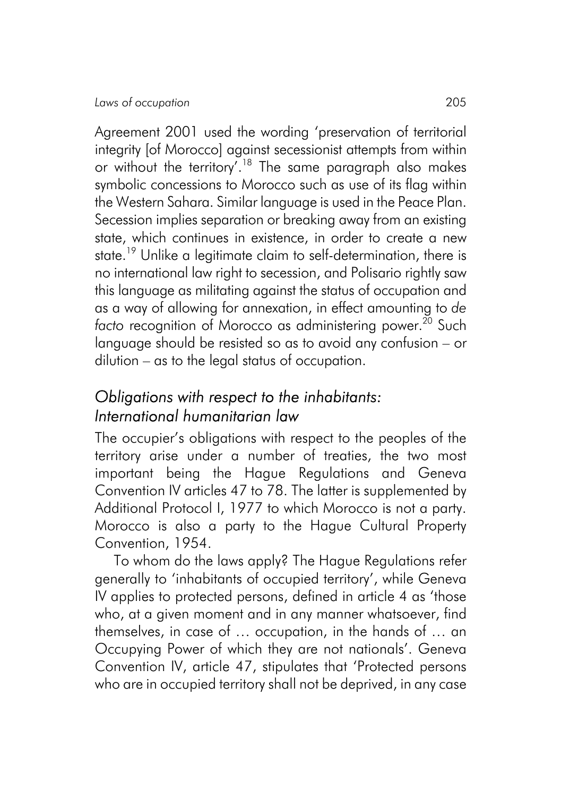Agreement 2001 used the wording 'preservation of territorial integrity [of Morocco] against secessionist attempts from within or without the territory'.18 The same paragraph also makes symbolic concessions to Morocco such as use of its flag within the Western Sahara. Similar language is used in the Peace Plan. Secession implies separation or breaking away from an existing state, which continues in existence, in order to create a new state.<sup>19</sup> Unlike a legitimate claim to self-determination, there is no international law right to secession, and Polisario rightly saw this language as militating against the status of occupation and as a way of allowing for annexation, in effect amounting to *de facto* recognition of Morocco as administering power.<sup>20</sup> Such language should be resisted so as to avoid any confusion – or dilution – as to the legal status of occupation.

#### *Obligations with respect to the inhabitants: International humanitarian law*

The occupier's obligations with respect to the peoples of the territory arise under a number of treaties, the two most important being the Hague Regulations and Geneva Convention IV articles 47 to 78. The latter is supplemented by Additional Protocol I, 1977 to which Morocco is not a party. Morocco is also a party to the Hague Cultural Property Convention, 1954.

To whom do the laws apply? The Hague Regulations refer generally to 'inhabitants of occupied territory', while Geneva IV applies to protected persons, defined in article 4 as 'those who, at a given moment and in any manner whatsoever, find themselves, in case of … occupation, in the hands of … an Occupying Power of which they are not nationals'. Geneva Convention IV, article 47, stipulates that 'Protected persons who are in occupied territory shall not be deprived, in any case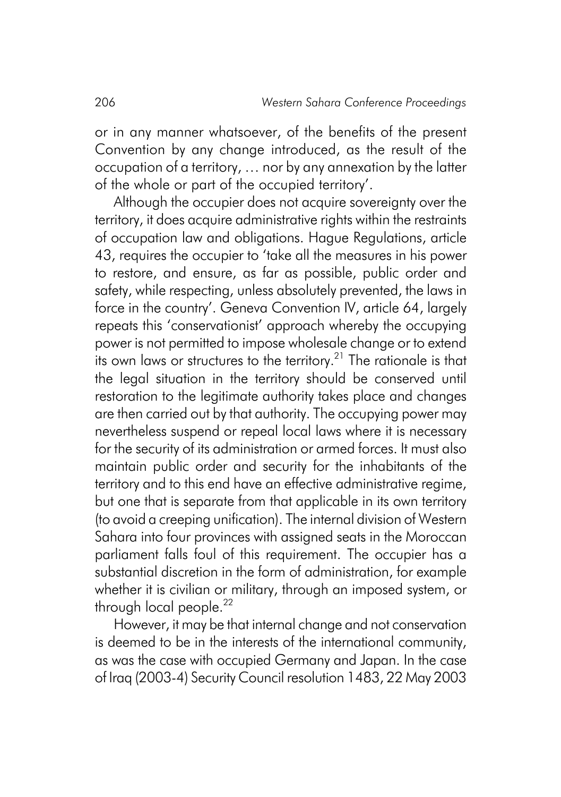or in any manner whatsoever, of the benefits of the present Convention by any change introduced, as the result of the occupation of a territory, … nor by any annexation by the latter of the whole or part of the occupied territory'.

Although the occupier does not acquire sovereignty over the territory, it does acquire administrative rights within the restraints of occupation law and obligations. Hague Regulations, article 43, requires the occupier to 'take all the measures in his power to restore, and ensure, as far as possible, public order and safety, while respecting, unless absolutely prevented, the laws in force in the country'. Geneva Convention IV, article 64, largely repeats this 'conservationist' approach whereby the occupying power is not permitted to impose wholesale change or to extend its own laws or structures to the territory.<sup>21</sup> The rationale is that the legal situation in the territory should be conserved until restoration to the legitimate authority takes place and changes are then carried out by that authority. The occupying power may nevertheless suspend or repeal local laws where it is necessary for the security of its administration or armed forces. It must also maintain public order and security for the inhabitants of the territory and to this end have an effective administrative regime, but one that is separate from that applicable in its own territory (to avoid a creeping unification). The internal division of Western Sahara into four provinces with assigned seats in the Moroccan parliament falls foul of this requirement. The occupier has a substantial discretion in the form of administration, for example whether it is civilian or military, through an imposed system, or through local people.<sup>22</sup>

However, it may be that internal change and not conservation is deemed to be in the interests of the international community, as was the case with occupied Germany and Japan. In the case of Iraq (2003-4) Security Council resolution 1483, 22 May 2003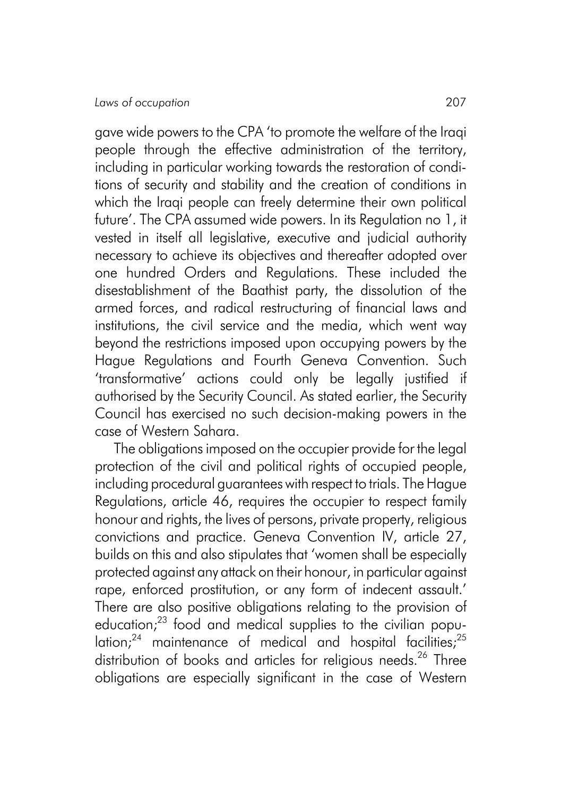gave wide powers to the CPA 'to promote the welfare of the Iraqi people through the effective administration of the territory, including in particular working towards the restoration of conditions of security and stability and the creation of conditions in which the Iraqi people can freely determine their own political future'. The CPA assumed wide powers. In its Regulation no 1, it vested in itself all legislative, executive and judicial authority necessary to achieve its objectives and thereafter adopted over one hundred Orders and Regulations. These included the disestablishment of the Baathist party, the dissolution of the armed forces, and radical restructuring of financial laws and institutions, the civil service and the media, which went way beyond the restrictions imposed upon occupying powers by the Hague Regulations and Fourth Geneva Convention. Such 'transformative' actions could only be legally justified if authorised by the Security Council. As stated earlier, the Security Council has exercised no such decision-making powers in the case of Western Sahara.

The obligations imposed on the occupier provide for the legal protection of the civil and political rights of occupied people, including procedural guarantees with respect to trials. The Hague Regulations, article 46, requires the occupier to respect family honour and rights, the lives of persons, private property, religious convictions and practice. Geneva Convention IV, article 27, builds on this and also stipulates that 'women shall be especially protected against any attack on their honour, in particular against rape, enforced prostitution, or any form of indecent assault.' There are also positive obligations relating to the provision of education: $23$  food and medical supplies to the civilian popu- $\frac{1}{2}$  maintenance of medical and hospital facilities;  $25$ distribution of books and articles for religious needs.<sup>26</sup> Three obligations are especially significant in the case of Western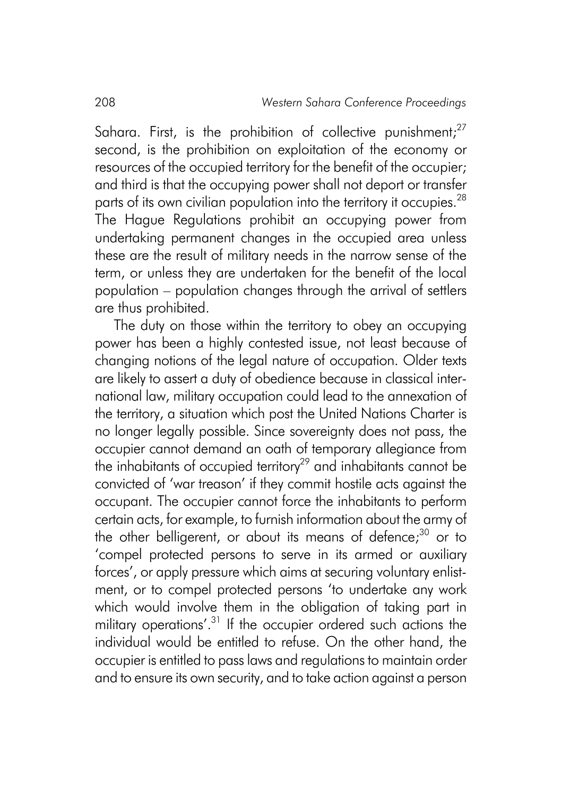Sahara. First, is the prohibition of collective punishment: $27$ second, is the prohibition on exploitation of the economy or resources of the occupied territory for the benefit of the occupier; and third is that the occupying power shall not deport or transfer parts of its own civilian population into the territory it occupies.<sup>28</sup> The Hague Regulations prohibit an occupying power from undertaking permanent changes in the occupied area unless these are the result of military needs in the narrow sense of the term, or unless they are undertaken for the benefit of the local population – population changes through the arrival of settlers are thus prohibited.

The duty on those within the territory to obey an occupying power has been a highly contested issue, not least because of changing notions of the legal nature of occupation. Older texts are likely to assert a duty of obedience because in classical international law, military occupation could lead to the annexation of the territory, a situation which post the United Nations Charter is no longer legally possible. Since sovereignty does not pass, the occupier cannot demand an oath of temporary allegiance from the inhabitants of occupied territory<sup>29</sup> and inhabitants cannot be convicted of 'war treason' if they commit hostile acts against the occupant. The occupier cannot force the inhabitants to perform certain acts, for example, to furnish information about the army of the other belligerent, or about its means of defence; $30$  or to 'compel protected persons to serve in its armed or auxiliary forces', or apply pressure which aims at securing voluntary enlistment, or to compel protected persons 'to undertake any work which would involve them in the obligation of taking part in military operations'.<sup>31</sup> If the occupier ordered such actions the individual would be entitled to refuse. On the other hand, the occupier is entitled to pass laws and regulations to maintain order and to ensure its own security, and to take action against a person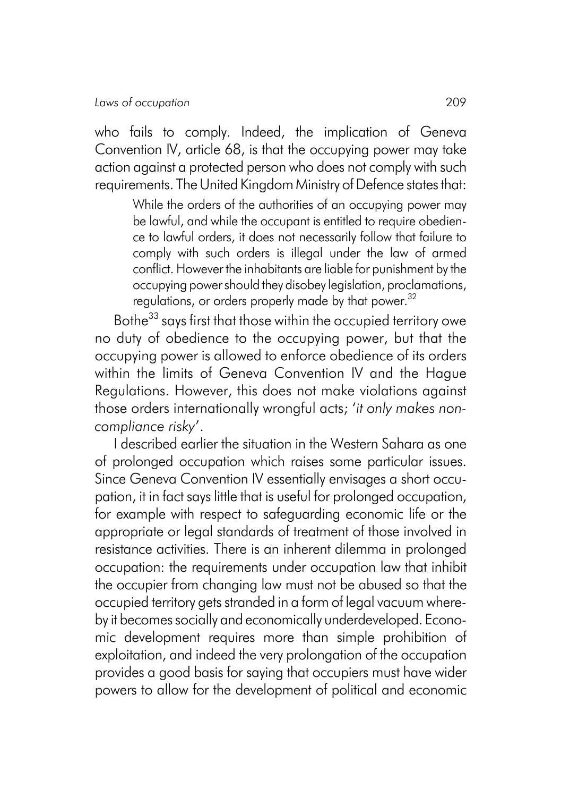who fails to comply. Indeed, the implication of Geneva Convention IV, article 68, is that the occupying power may take action against a protected person who does not comply with such requirements. The United Kingdom Ministry of Defence states that:

> While the orders of the authorities of an occupying power may be lawful, and while the occupant is entitled to require obedience to lawful orders, it does not necessarily follow that failure to comply with such orders is illegal under the law of armed conflict. However the inhabitants are liable for punishment by the occupying power should they disobey legislation, proclamations, regulations, or orders properly made by that power.<sup>32</sup>

Bothe<sup>33</sup> says first that those within the occupied territory owe no duty of obedience to the occupying power, but that the occupying power is allowed to enforce obedience of its orders within the limits of Geneva Convention IV and the Hague Regulations. However, this does not make violations against those orders internationally wrongful acts; '*it only makes noncompliance risky*'.

I described earlier the situation in the Western Sahara as one of prolonged occupation which raises some particular issues. Since Geneva Convention IV essentially envisages a short occupation, it in fact says little that is useful for prolonged occupation, for example with respect to safeguarding economic life or the appropriate or legal standards of treatment of those involved in resistance activities. There is an inherent dilemma in prolonged occupation: the requirements under occupation law that inhibit the occupier from changing law must not be abused so that the occupied territory gets stranded in a form of legal vacuum whereby it becomes socially and economically underdeveloped. Economic development requires more than simple prohibition of exploitation, and indeed the very prolongation of the occupation provides a good basis for saying that occupiers must have wider powers to allow for the development of political and economic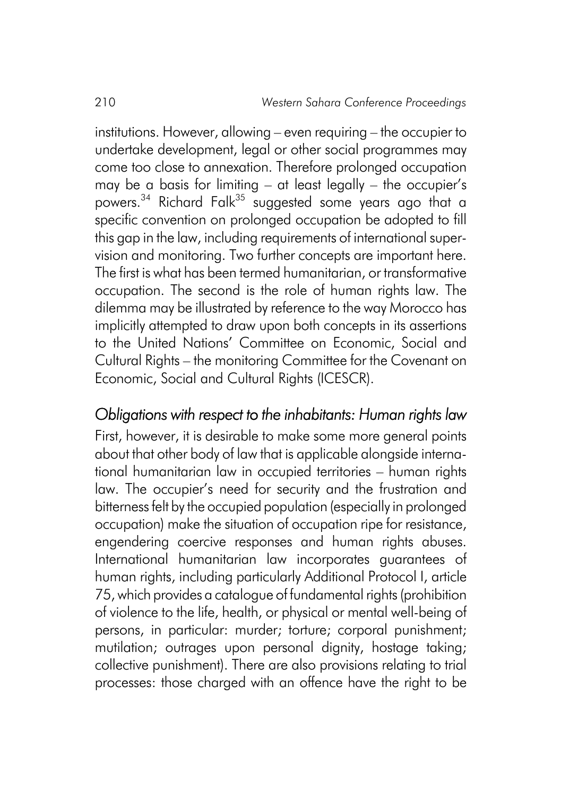institutions. However, allowing – even requiring – the occupier to undertake development, legal or other social programmes may come too close to annexation. Therefore prolonged occupation may be a basis for limiting – at least legally – the occupier's powers.<sup>34</sup> Richard Falk<sup>35</sup> suggested some years ago that a specific convention on prolonged occupation be adopted to fill this gap in the law, including requirements of international supervision and monitoring. Two further concepts are important here. The first is what has been termed humanitarian, or transformative occupation. The second is the role of human rights law. The dilemma may be illustrated by reference to the way Morocco has implicitly attempted to draw upon both concepts in its assertions to the United Nations' Committee on Economic, Social and Cultural Rights – the monitoring Committee for the Covenant on Economic, Social and Cultural Rights (ICESCR).

#### *Obligations with respect to the inhabitants: Human rights law*

First, however, it is desirable to make some more general points about that other body of law that is applicable alongside international humanitarian law in occupied territories – human rights law. The occupier's need for security and the frustration and bitterness felt by the occupied population (especially in prolonged occupation) make the situation of occupation ripe for resistance, engendering coercive responses and human rights abuses. International humanitarian law incorporates guarantees of human rights, including particularly Additional Protocol I, article 75, which provides a catalogue of fundamental rights (prohibition of violence to the life, health, or physical or mental well-being of persons, in particular: murder; torture; corporal punishment; mutilation; outrages upon personal dignity, hostage taking; collective punishment). There are also provisions relating to trial processes: those charged with an offence have the right to be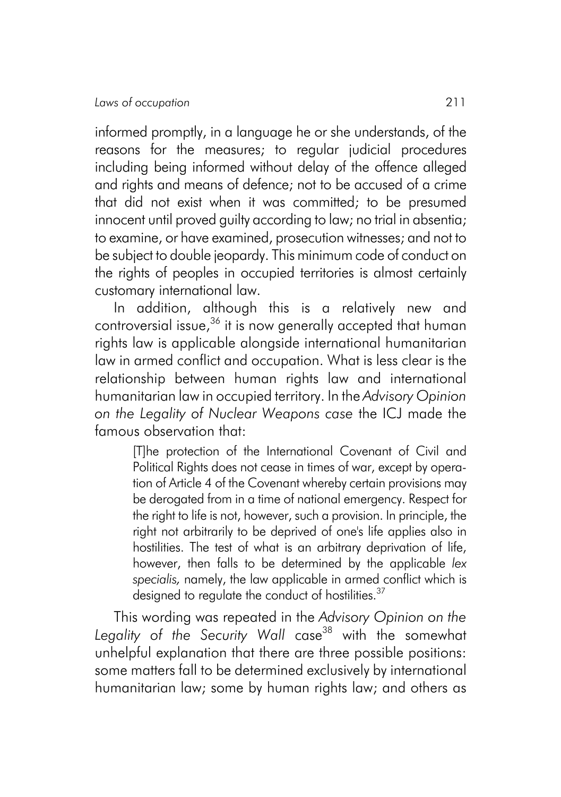informed promptly, in a language he or she understands, of the reasons for the measures; to regular judicial procedures including being informed without delay of the offence alleged and rights and means of defence; not to be accused of a crime that did not exist when it was committed; to be presumed innocent until proved guilty according to law; no trial in absentia; to examine, or have examined, prosecution witnesses; and not to be subject to double jeopardy. This minimum code of conduct on the rights of peoples in occupied territories is almost certainly customary international law.

In addition, although this is a relatively new and controversial issue,<sup>36</sup> it is now generally accepted that human rights law is applicable alongside international humanitarian law in armed conflict and occupation. What is less clear is the relationship between human rights law and international humanitarian law in occupied territory. In the *Advisory Opinion on the Legality of Nuclear Weapons case* the ICJ made the famous observation that:

> [T]he protection of the International Covenant of Civil and Political Rights does not cease in times of war, except by operation of Article 4 of the Covenant whereby certain provisions may be derogated from in a time of national emergency. Respect for the right to life is not, however, such a provision. In principle, the right not arbitrarily to be deprived of one's life applies also in hostilities. The test of what is an arbitrary deprivation of life, however, then falls to be determined by the applicable *lex specialis,* namely, the law applicable in armed conflict which is designed to regulate the conduct of hostilities.<sup>37</sup>

This wording was repeated in the *Advisory Opinion on the* Legality of the Security Wall case<sup>38</sup> with the somewhat unhelpful explanation that there are three possible positions: some matters fall to be determined exclusively by international humanitarian law; some by human rights law; and others as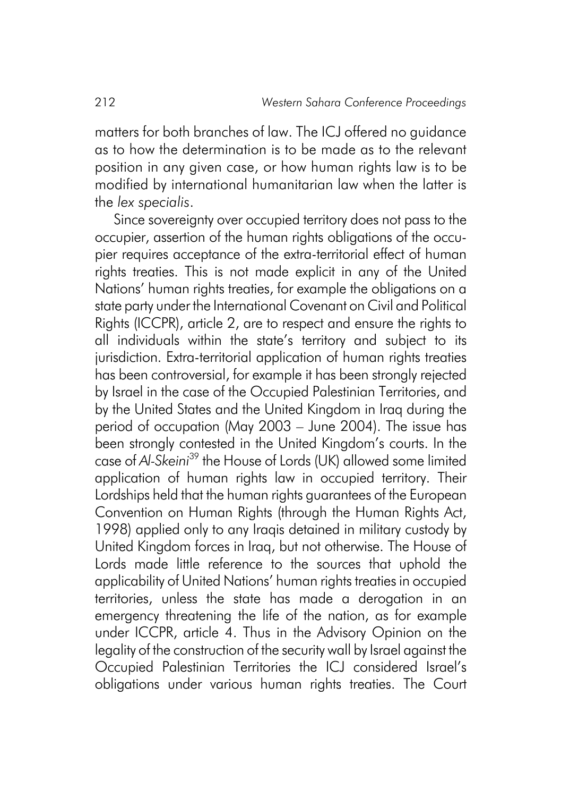matters for both branches of law. The ICJ offered no guidance as to how the determination is to be made as to the relevant position in any given case, or how human rights law is to be modified by international humanitarian law when the latter is the *lex specialis*.

Since sovereignty over occupied territory does not pass to the occupier, assertion of the human rights obligations of the occupier requires acceptance of the extra-territorial effect of human rights treaties. This is not made explicit in any of the United Nations' human rights treaties, for example the obligations on a state party under the International Covenant on Civil and Political Rights (ICCPR), article 2, are to respect and ensure the rights to all individuals within the state's territory and subject to its jurisdiction. Extra-territorial application of human rights treaties has been controversial, for example it has been strongly rejected by Israel in the case of the Occupied Palestinian Territories, and by the United States and the United Kingdom in Iraq during the period of occupation (May 2003 – June 2004). The issue has been strongly contested in the United Kingdom's courts. In the case of *Al-Skeini*39 the House of Lords (UK) allowed some limited application of human rights law in occupied territory. Their Lordships held that the human rights guarantees of the European Convention on Human Rights (through the Human Rights Act, 1998) applied only to any Iraqis detained in military custody by United Kingdom forces in Iraq, but not otherwise. The House of Lords made little reference to the sources that uphold the applicability of United Nations' human rights treaties in occupied territories, unless the state has made a derogation in an emergency threatening the life of the nation, as for example under ICCPR, article 4. Thus in the Advisory Opinion on the legality of the construction of the security wall by Israel against the Occupied Palestinian Territories the ICJ considered Israel's obligations under various human rights treaties. The Court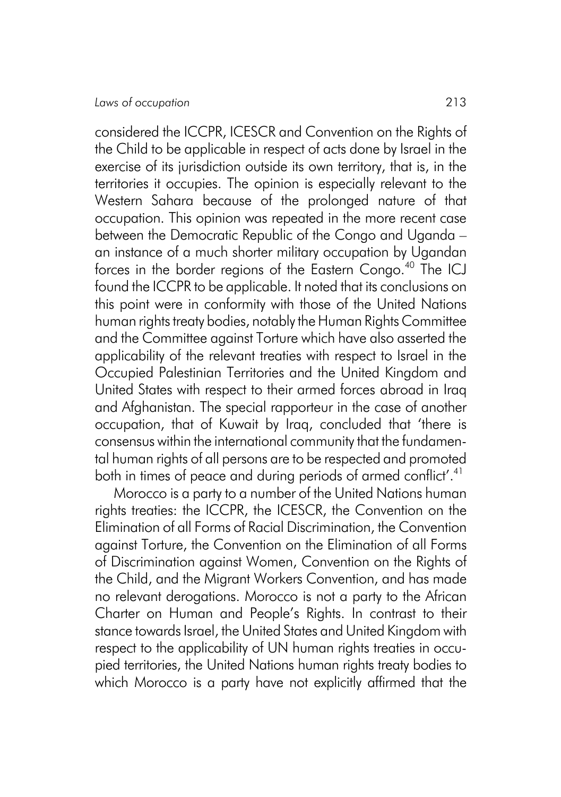considered the ICCPR, ICESCR and Convention on the Rights of the Child to be applicable in respect of acts done by Israel in the exercise of its jurisdiction outside its own territory, that is, in the territories it occupies. The opinion is especially relevant to the Western Sahara because of the prolonged nature of that occupation. This opinion was repeated in the more recent case between the Democratic Republic of the Congo and Uganda – an instance of a much shorter military occupation by Ugandan forces in the border regions of the Eastern Congo.<sup>40</sup> The ICJ found the ICCPR to be applicable. It noted that its conclusions on this point were in conformity with those of the United Nations human rights treaty bodies, notably the Human Rights Committee and the Committee against Torture which have also asserted the applicability of the relevant treaties with respect to Israel in the Occupied Palestinian Territories and the United Kingdom and United States with respect to their armed forces abroad in Iraq and Afghanistan. The special rapporteur in the case of another occupation, that of Kuwait by Iraq, concluded that 'there is consensus within the international community that the fundamental human rights of all persons are to be respected and promoted both in times of peace and during periods of armed conflict'.<sup>41</sup>

Morocco is a party to a number of the United Nations human rights treaties: the ICCPR, the ICESCR, the Convention on the Elimination of all Forms of Racial Discrimination, the Convention against Torture, the Convention on the Elimination of all Forms of Discrimination against Women, Convention on the Rights of the Child, and the Migrant Workers Convention, and has made no relevant derogations. Morocco is not a party to the African Charter on Human and People's Rights. In contrast to their stance towards Israel, the United States and United Kingdom with respect to the applicability of UN human rights treaties in occupied territories, the United Nations human rights treaty bodies to which Morocco is a party have not explicitly affirmed that the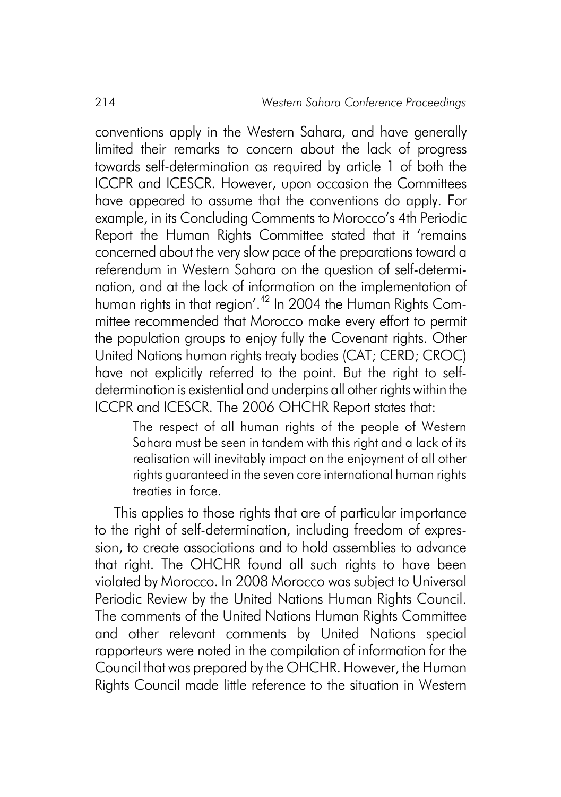conventions apply in the Western Sahara, and have generally limited their remarks to concern about the lack of progress towards self-determination as required by article 1 of both the ICCPR and ICESCR. However, upon occasion the Committees have appeared to assume that the conventions do apply. For example, in its Concluding Comments to Morocco's 4th Periodic Report the Human Rights Committee stated that it 'remains concerned about the very slow pace of the preparations toward a referendum in Western Sahara on the question of self-determination, and at the lack of information on the implementation of human rights in that region'.<sup>42</sup> In 2004 the Human Rights Committee recommended that Morocco make every effort to permit the population groups to enjoy fully the Covenant rights. Other United Nations human rights treaty bodies (CAT; CERD; CROC) have not explicitly referred to the point. But the right to selfdetermination is existential and underpins all other rights within the ICCPR and ICESCR. The 2006 OHCHR Report states that:

> The respect of all human rights of the people of Western Sahara must be seen in tandem with this right and a lack of its realisation will inevitably impact on the enjoyment of all other rights guaranteed in the seven core international human rights treaties in force.

This applies to those rights that are of particular importance to the right of self-determination, including freedom of expression, to create associations and to hold assemblies to advance that right. The OHCHR found all such rights to have been violated by Morocco. In 2008 Morocco was subject to Universal Periodic Review by the United Nations Human Rights Council. The comments of the United Nations Human Rights Committee and other relevant comments by United Nations special rapporteurs were noted in the compilation of information for the Council that was prepared by the OHCHR. However, the Human Rights Council made little reference to the situation in Western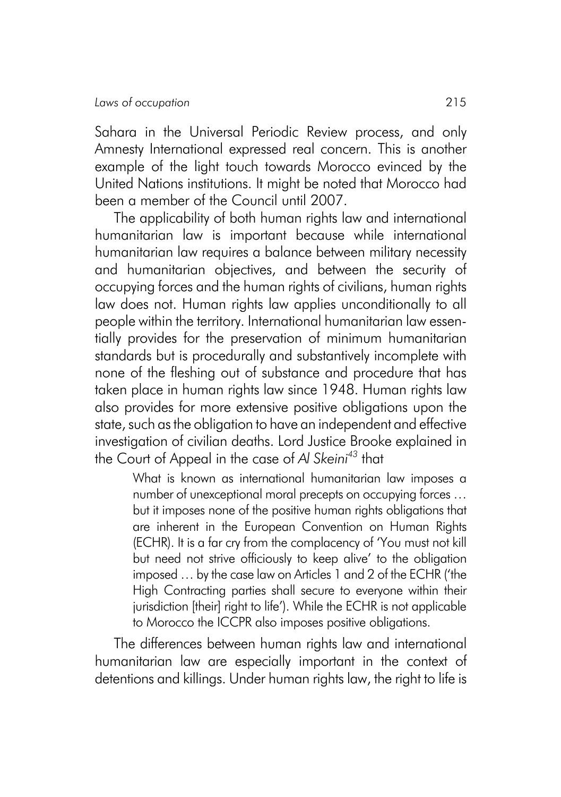Sahara in the Universal Periodic Review process, and only Amnesty International expressed real concern. This is another example of the light touch towards Morocco evinced by the United Nations institutions. It might be noted that Morocco had been a member of the Council until 2007.

The applicability of both human rights law and international humanitarian law is important because while international humanitarian law requires a balance between military necessity and humanitarian objectives, and between the security of occupying forces and the human rights of civilians, human rights law does not. Human rights law applies unconditionally to all people within the territory. International humanitarian law essentially provides for the preservation of minimum humanitarian standards but is procedurally and substantively incomplete with none of the fleshing out of substance and procedure that has taken place in human rights law since 1948. Human rights law also provides for more extensive positive obligations upon the state, such as the obligation to have an independent and effective investigation of civilian deaths. Lord Justice Brooke explained in the Court of Appeal in the case of *Al Skeini43* that

> What is known as international humanitarian law imposes a number of unexceptional moral precepts on occupying forces … but it imposes none of the positive human rights obligations that are inherent in the European Convention on Human Rights (ECHR). It is a far cry from the complacency of 'You must not kill but need not strive officiously to keep alive' to the obligation imposed … by the case law on Articles 1 and 2 of the ECHR ('the High Contracting parties shall secure to everyone within their jurisdiction [their] right to life'). While the ECHR is not applicable to Morocco the ICCPR also imposes positive obligations.

The differences between human rights law and international humanitarian law are especially important in the context of detentions and killings. Under human rights law, the right to life is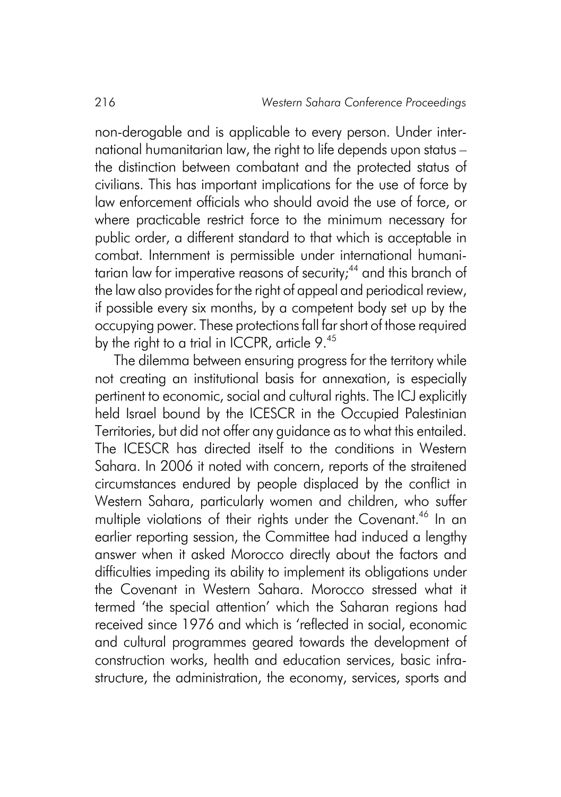non-derogable and is applicable to every person. Under international humanitarian law, the right to life depends upon status – the distinction between combatant and the protected status of civilians. This has important implications for the use of force by law enforcement officials who should avoid the use of force, or where practicable restrict force to the minimum necessary for public order, a different standard to that which is acceptable in combat. Internment is permissible under international humanitarian law for imperative reasons of security;<sup>44</sup> and this branch of the law also provides for the right of appeal and periodical review, if possible every six months, by a competent body set up by the occupying power. These protections fall far short of those required by the right to a trial in ICCPR, article 9.45

The dilemma between ensuring progress for the territory while not creating an institutional basis for annexation, is especially pertinent to economic, social and cultural rights. The ICJ explicitly held Israel bound by the ICESCR in the Occupied Palestinian Territories, but did not offer any guidance as to what this entailed. The ICESCR has directed itself to the conditions in Western Sahara. In 2006 it noted with concern, reports of the straitened circumstances endured by people displaced by the conflict in Western Sahara, particularly women and children, who suffer multiple violations of their rights under the Covenant.<sup>46</sup> In an earlier reporting session, the Committee had induced a lengthy answer when it asked Morocco directly about the factors and difficulties impeding its ability to implement its obligations under the Covenant in Western Sahara. Morocco stressed what it termed 'the special attention' which the Saharan regions had received since 1976 and which is 'reflected in social, economic and cultural programmes geared towards the development of construction works, health and education services, basic infrastructure, the administration, the economy, services, sports and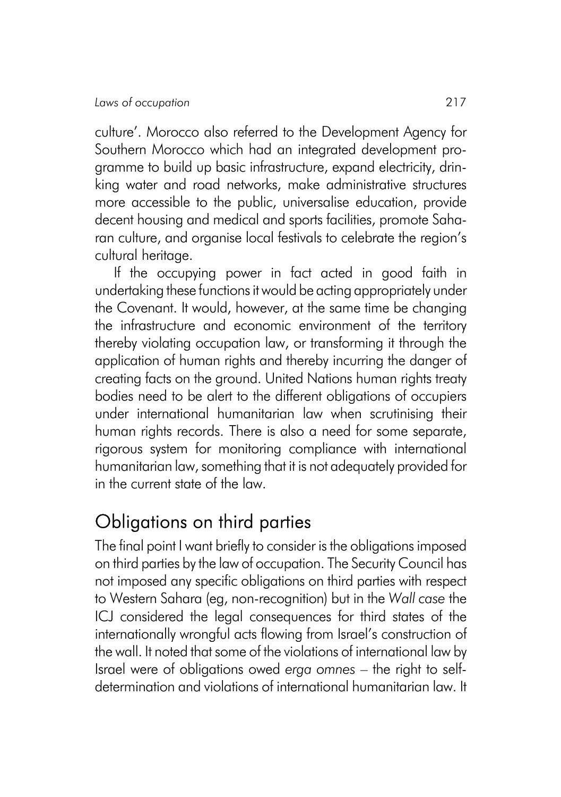culture'. Morocco also referred to the Development Agency for Southern Morocco which had an integrated development programme to build up basic infrastructure, expand electricity, drinking water and road networks, make administrative structures more accessible to the public, universalise education, provide decent housing and medical and sports facilities, promote Saharan culture, and organise local festivals to celebrate the region's cultural heritage.

If the occupying power in fact acted in good faith in undertaking these functions it would be acting appropriately under the Covenant. It would, however, at the same time be changing the infrastructure and economic environment of the territory thereby violating occupation law, or transforming it through the application of human rights and thereby incurring the danger of creating facts on the ground. United Nations human rights treaty bodies need to be alert to the different obligations of occupiers under international humanitarian law when scrutinising their human rights records. There is also a need for some separate, rigorous system for monitoring compliance with international humanitarian law, something that it is not adequately provided for in the current state of the law.

# Obligations on third parties

The final point I want briefly to consider is the obligations imposed on third parties by the law of occupation. The Security Council has not imposed any specific obligations on third parties with respect to Western Sahara (eg, non-recognition) but in the *Wall case* the ICJ considered the legal consequences for third states of the internationally wrongful acts flowing from Israel's construction of the wall. It noted that some of the violations of international law by Israel were of obligations owed *erga omnes* – the right to selfdetermination and violations of international humanitarian law. It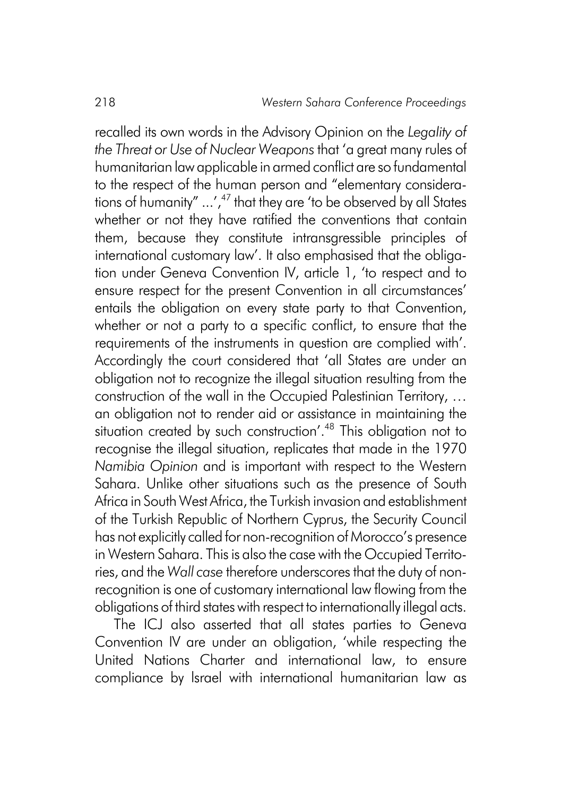recalled its own words in the Advisory Opinion on the *LegaIity of the Threat or Use of Nuclear Weapons* that 'a great many rules of humanitarian law applicable in armed conflict are so fundamental to the respect of the human person and "elementary considerations of humanity"  $\ldots'$ , <sup>47</sup> that they are 'to be observed by all States whether or not they have ratified the conventions that contain them, because they constitute intransgressible principles of international customary law'. It also emphasised that the obligation under Geneva Convention IV, article 1, 'to respect and to ensure respect for the present Convention in all circumstances' entails the obligation on every state party to that Convention, whether or not a party to a specific conflict, to ensure that the requirements of the instruments in question are complied with'. Accordingly the court considered that 'all States are under an obligation not to recognize the illegal situation resulting from the construction of the wall in the Occupied Palestinian Territory, … an obligation not to render aid or assistance in maintaining the situation created by such construction'.<sup>48</sup> This obligation not to recognise the illegal situation, replicates that made in the 1970 *Namibia Opinion* and is important with respect to the Western Sahara. Unlike other situations such as the presence of South Africa in South West Africa, the Turkish invasion and establishment of the Turkish Republic of Northern Cyprus, the Security Council has not explicitly called for non-recognition of Morocco's presence in Western Sahara. This is also the case with the Occupied Territories, and the *Wall case* therefore underscores that the duty of nonrecognition is one of customary international law flowing from the obligations of third states with respect to internationally illegal acts.

The ICJ also asserted that all states parties to Geneva Convention IV are under an obligation, 'while respecting the United Nations Charter and international law, to ensure compliance by lsrael with international humanitarian law as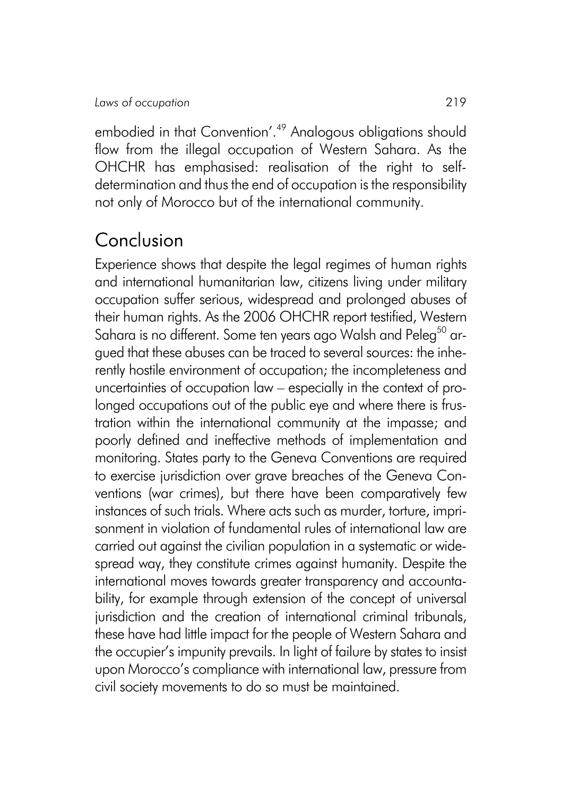embodied in that Convention'.<sup>49</sup> Analogous obligations should flow from the illegal occupation of Western Sahara. As the OHCHR has emphasised: realisation of the right to selfdetermination and thus the end of occupation is the responsibility not only of Morocco but of the international community.

## Conclusion

Experience shows that despite the legal regimes of human rights and international humanitarian law, citizens living under military occupation suffer serious, widespread and prolonged abuses of their human rights. As the 2006 OHCHR report testified, Western Sahara is no different. Some ten years ago Walsh and Peleg<sup>50</sup> argued that these abuses can be traced to several sources: the inherently hostile environment of occupation; the incompleteness and uncertainties of occupation law – especially in the context of prolonged occupations out of the public eye and where there is frustration within the international community at the impasse; and poorly defined and ineffective methods of implementation and monitoring. States party to the Geneva Conventions are required to exercise jurisdiction over grave breaches of the Geneva Conventions (war crimes), but there have been comparatively few instances of such trials. Where acts such as murder, torture, imprisonment in violation of fundamental rules of international law are carried out against the civilian population in a systematic or widespread way, they constitute crimes against humanity. Despite the international moves towards greater transparency and accountability, for example through extension of the concept of universal jurisdiction and the creation of international criminal tribunals, these have had little impact for the people of Western Sahara and the occupier's impunity prevails. In light of failure by states to insist upon Morocco's compliance with international law, pressure from civil society movements to do so must be maintained.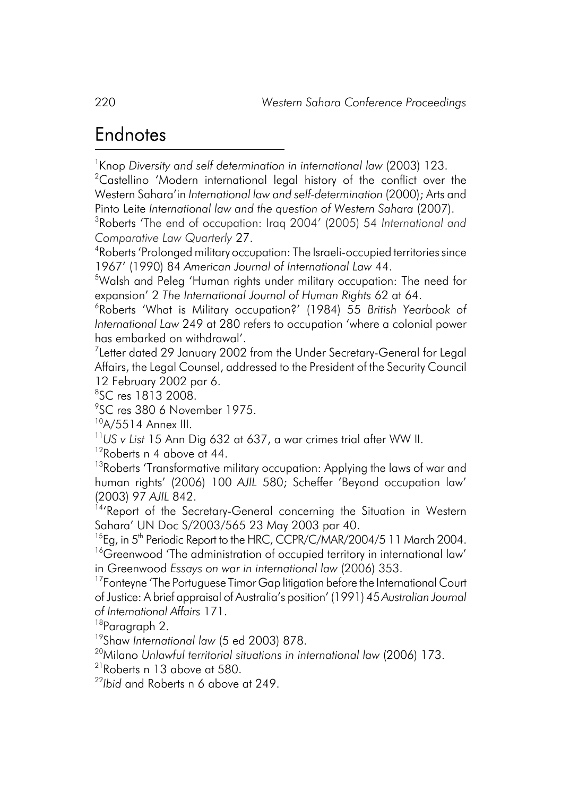## Endnotes

1 Knop *Diversity and self determination in international law* (2003) 123.

 $^{2}$ Castellino 'Modern international legal history of the conflict over the Western Sahara'in *International law and self-determination* (2000); Arts and Pinto Leite *International law and the question of Western Sahara* (2007).

3 Roberts 'The end of occupation: Iraq 2004' (2005) 54 *International and Comparative Law Quarterly* 27.

4 Roberts 'Prolonged military occupation: The Israeli-occupied territories since 1967' (1990) 84 *American Journal of International Law* 44.

5 Walsh and Peleg 'Human rights under military occupation: The need for expansion' 2 *The International Journal of Human Rights* 62 at 64.

6 Roberts 'What is Military occupation?' (1984) 55 *British Yearbook of International Law* 249 at 280 refers to occupation 'where a colonial power has embarked on withdrawal'.

 $^7$ Letter dated 29 January 2002 from the Under Secretary-General for Legal Affairs, the Legal Counsel, addressed to the President of the Security Council 12 February 2002 par 6.

8 SC res 1813 2008.

9 SC res 380 6 November 1975.

 $10A/5514$  Annex III.

<sup>11</sup>*US v List* 15 Ann Dig 632 at 637, a war crimes trial after WW II.

<sup>12</sup>Roberts n 4 above at 44.

<sup>13</sup>Roberts 'Transformative military occupation: Applying the laws of war and human rights' (2006) 100 *AJIL* 580; Scheffer 'Beyond occupation law' (2003) 97 AJIL 842.<br><sup>14</sup>'Report of the Secretary-General concerning the Situation in Western

Sahara' UN Doc S/2003/565 23 May 2003 par 40.

<sup>15</sup>Eg, in 5<sup>th</sup> Periodic Report to the HRC, CCPR/C/MAR/2004/5 11 March 2004.

<sup>16</sup>Greenwood 'The administration of occupied territory in international law' in Greenwood *Essays on war in international law* (2006) 353.

<sup>17</sup>Fonteyne 'The Portuguese Timor Gap litigation before the International Court of Justice: A brief appraisal of Australia's position' (1991) 45 *Australian Journal of International Affairs* 171.

<sup>18</sup>Paragraph 2.

19Shaw *International law* (5 ed 2003) 878.

20Milano *Unlawful territorial situations in international law* (2006) 173.

21Roberts n 13 above at 580.

<sup>22</sup>*Ibid* and Roberts n 6 above at 249.